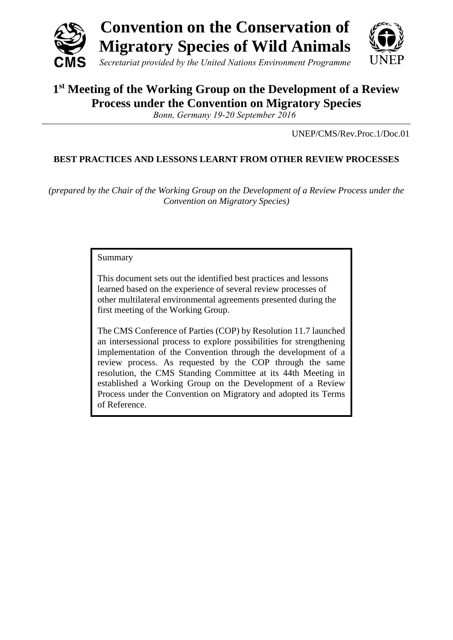

# **1 st Meeting of the Working Group on the Development of a Review Process under the Convention on Migratory Species**

*Bonn, Germany 19-20 September 2016*

UNEP/CMS/Rev.Proc.1/Doc.01

# **BEST PRACTICES AND LESSONS LEARNT FROM OTHER REVIEW PROCESSES**

*(prepared by the Chair of the Working Group on the Development of a Review Process under the Convention on Migratory Species)*

#### Summary

This document sets out the identified best practices and lessons learned based on the experience of several review processes of other multilateral environmental agreements presented during the first meeting of the Working Group.

The CMS Conference of Parties (COP) by Resolution 11.7 launched an intersessional process to explore possibilities for strengthening implementation of the Convention through the development of a review process. As requested by the COP through the same resolution, the CMS Standing Committee at its 44th Meeting in established a Working Group on the Development of a Review Process under the Convention on Migratory and adopted its Terms of Reference.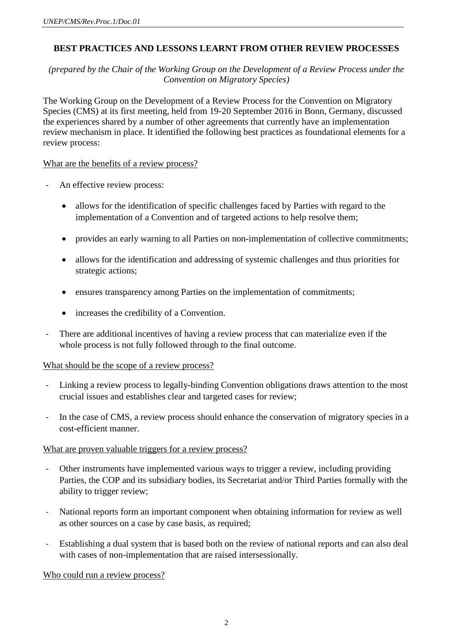## **BEST PRACTICES AND LESSONS LEARNT FROM OTHER REVIEW PROCESSES**

*(prepared by the Chair of the Working Group on the Development of a Review Process under the Convention on Migratory Species)*

The Working Group on the Development of a Review Process for the Convention on Migratory Species (CMS) at its first meeting, held from 19-20 September 2016 in Bonn, Germany, discussed the experiences shared by a number of other agreements that currently have an implementation review mechanism in place. It identified the following best practices as foundational elements for a review process:

#### What are the benefits of a review process?

- An effective review process:
	- allows for the identification of specific challenges faced by Parties with regard to the implementation of a Convention and of targeted actions to help resolve them;
	- provides an early warning to all Parties on non-implementation of collective commitments;
	- allows for the identification and addressing of systemic challenges and thus priorities for strategic actions;
	- ensures transparency among Parties on the implementation of commitments;
	- increases the credibility of a Convention.
- There are additional incentives of having a review process that can materialize even if the whole process is not fully followed through to the final outcome.

### What should be the scope of a review process?

- Linking a review process to legally-binding Convention obligations draws attention to the most crucial issues and establishes clear and targeted cases for review;
- In the case of CMS, a review process should enhance the conservation of migratory species in a cost-efficient manner.

### What are proven valuable triggers for a review process?

- Other instruments have implemented various ways to trigger a review, including providing Parties, the COP and its subsidiary bodies, its Secretariat and/or Third Parties formally with the ability to trigger review;
- National reports form an important component when obtaining information for review as well as other sources on a case by case basis, as required;
- Establishing a dual system that is based both on the review of national reports and can also deal with cases of non-implementation that are raised intersessionally.

#### Who could run a review process?